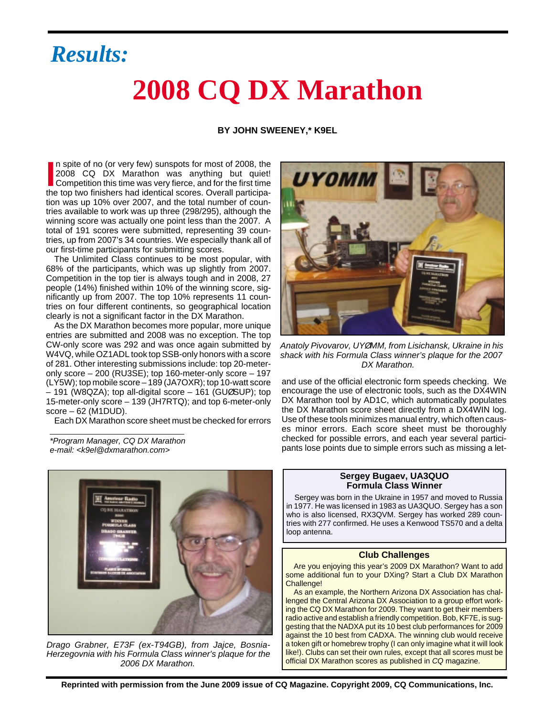### *Results:*

## **2008 CQ DX Marathon**

#### **BY JOHN SWEENEY,\* K9EL**

In spite of no (or very few) sunspots for most of 2008, the<br>
2008 CQ DX Marathon was anything but quiet!<br>
Competition this time was very fierce, and for the first time<br>
the top two finishers had identicel secrec Overall pa n spite of no (or very few) sunspots for most of 2008, the 2008 CQ DX Marathon was anything but quiet! the top two finishers had identical scores. Overall participation was up 10% over 2007, and the total number of countries available to work was up three (298/295), although the winning score was actually one point less than the 2007. A total of 191 scores were submitted, representing 39 countries, up from 2007's 34 countries. We especially thank all of our first-time participants for submitting scores.

The Unlimited Class continues to be most popular, with 68% of the participants, which was up slightly from 2007. Competition in the top tier is always tough and in 2008, 27 people (14%) finished within 10% of the winning score, significantly up from 2007. The top 10% represents 11 countries on four different continents, so geographical location clearly is not a significant factor in the DX Marathon.

As the DX Marathon becomes more popular, more unique entries are submitted and 2008 was no exception. The top CW-only score was 292 and was once again submitted by W4VQ, while OZ1ADL took top SSB-only honors with a score of 281. Other interesting submissions include: top 20-meteronly score – 200 (RU3SE); top 160-meter-only score – 197 (LY5W); top mobile score – 189 (JA7OXR); top 10-watt score – 191 (W8QZA); top all-digital score – 161 (GUØSUP); top 15-meter-only score – 139 (JH7RTQ); and top 6-meter-only score – 62 (M1DUD).

Each DX Marathon score sheet must be checked for errors

e-mail: <k9el@dxmarathon.com>



Drago Grabner, E73F (ex-T94GB), from Jajce, Bosnia-Herzegovnia with his Formula Class winner's plaque for the 2006 DX Marathon.



Anatoly Pivovarov, UY*Ø*MM, from Lisichansk, Ukraine in his shack with his Formula Class winner's plaque for the 2007 DX Marathon.

and use of the official electronic form speeds checking. We encourage the use of electronic tools, such as the DX4WIN DX Marathon tool by AD1C, which automatically populates the DX Marathon score sheet directly from a DX4WIN log. Use of these tools minimizes manual entry, which often causes minor errors. Each score sheet must be thoroughly checked for possible errors, and each year several participants in the checked for possible errors, and each year several partici-<br>e-mail: <k9el@dxmarathon.com><br>e-mail: <k9el@dxmarathon.com>

#### **Sergey Bugaev, UA3QUO Formula Class Winner**

Sergey was born in the Ukraine in 1957 and moved to Russia in 1977. He was licensed in 1983 as UA3QUO. Sergey has a son who is also licensed, RX3QVM. Sergey has worked 289 countries with 277 confirmed. He uses a Kenwood TS570 and a delta loop antenna.

#### **Club Challenges**

Are you enjoying this year's 2009 DX Marathon? Want to add some additional fun to your DXing? Start a Club DX Marathon Challenge!

As an example, the Northern Arizona DX Association has challenged the Central Arizona DX Association to a group effort working the CQ DX Marathon for 2009. They want to get their members radio active and establish a friendly competition. Bob, KF7E, is suggesting that the NADXA put its 10 best club performances for 2009 against the 10 best from CADXA. The winning club would receive a token gift or homebrew trophy (I can only imagine what it will look like!). Clubs can set their own rules, except that all scores must be official DX Marathon scores as published in CQ magazine.

**Reprinted with permission from the June 2009 issue of CQ Magazine. Copyright 2009, CQ Communications, Inc.**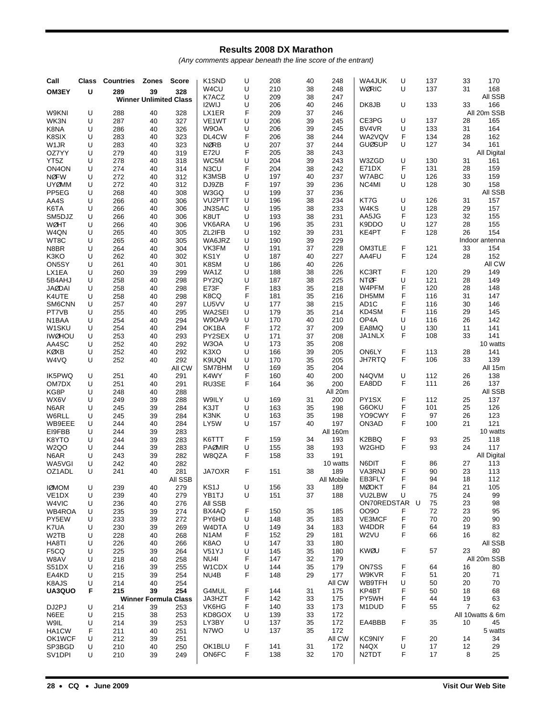#### **Results 2008 DX Marathon**

(Any comments appear beneath the line score of the entrant)

| Call<br>OM3EY          | Class<br>U | <b>Countries</b><br>289 | <b>Zones</b><br>39            | <b>Score</b><br>328 | K <sub>1</sub> SN <sub>D</sub><br>W4CU<br>K7ACZ | U<br>U<br>U | 208<br>210<br>209 | 40<br>38<br>38 | 248<br>248<br>247 | WA4JUK<br><b>WØRIC</b> | U<br>U | 137<br>137 | 33<br>31 | 170<br>168<br>All SSB |
|------------------------|------------|-------------------------|-------------------------------|---------------------|-------------------------------------------------|-------------|-------------------|----------------|-------------------|------------------------|--------|------------|----------|-----------------------|
|                        |            |                         | <b>Winner Unlimited Class</b> |                     | I2WIJ                                           | U           | 206               | 40             | 246               | DK8JB                  | U      | 133        | 33       | 166                   |
| W9KNI                  | U          | 288                     | 40                            | 328                 | LX1ER                                           | F           | 209               | 37             | 246               |                        |        |            |          | All 20m SSB           |
| WK3N                   | U          | 287                     | 40                            | 327                 | VE <sub>1</sub> WT                              | U           | 206               | 39             | 245               | CE3PG                  | U      | 137        | 28       | 165                   |
| K8NA<br>K8SIX          | U<br>U     | 286<br>283              | 40<br>40                      | 326<br>323          | W9OA<br>DL4CW                                   | U<br>F      | 206<br>206        | 39<br>38       | 245<br>244        | BV4VR<br>WA2VQV        | U<br>F | 133<br>134 | 31<br>28 | 164<br>162            |
| W <sub>1</sub> JR      | U          | 283                     | 40                            | 323                 | <b>NØRB</b>                                     | U           | 207               | 37             | 244               | <b>GUØSUP</b>          | U      | 127        | 34       | 161                   |
| OZ7YY                  | U          | 279                     | 40                            | 319                 | E72U                                            | F           | 205               | 38             | 243               |                        |        |            |          | All Digital           |
| YT5Z                   | U          | 278                     | 40                            | 318                 | WC5M                                            | U           | 204               | 39             | 243               | W3ZGD                  | U      | 130        | 31       | 161                   |
| ON <sub>4</sub> ON     | U          | 274                     | 40                            | 314                 | N3CU                                            | F           | 204               | 38             | 242               | E71DX                  | F      | 131        | 28       | 159                   |
| <b>NØFW</b>            | U          | 272                     | 40                            | 312                 | K3MSB                                           | U           | 197               | 40             | 237               | W7ABC                  | U      | 126        | 33       | 159                   |
| <b>UYØMM</b>           | U          | 272                     | 40                            | 312                 | DJ9ZB                                           | F           | 197               | 39             | 236               | NC4MI                  | U      | 128        | 30       | 158                   |
| PP5EG                  | U          | 268                     | 40                            | 308                 | W3GQ<br>VU <sub>2</sub> PTT                     | U<br>U      | 199               | 37<br>38       | 236               |                        | U      |            |          | All SSB               |
| AA4S<br>K6TA           | U<br>U     | 266<br>266              | 40<br>40                      | 306<br>306          | JN3SAC                                          | U           | 196<br>195        | 38             | 234<br>233        | KT7G<br>W4KS           | U      | 126<br>128 | 31<br>29 | 157<br>157            |
| SM5DJZ                 | U          | 266                     | 40                            | 306                 | K8UT                                            | U           | 193               | 38             | 231               | AA5JG                  | F      | 123        | 32       | 155                   |
| <b>WØHT</b>            | U          | 266                     | 40                            | 306                 | VK6ARA                                          | U           | 196               | 35             | 231               | K9DDO                  | U      | 127        | 28       | 155                   |
| W4QN                   | U          | 265                     | 40                            | 305                 | ZL2IFB                                          | U           | 192               | 39             | 231               | KE4PT                  | F      | 128        | 26       | 154                   |
| WT8C                   | U          | 265                     | 40                            | 305                 | WA6JRZ                                          | U           | 190               | 39             | 229               |                        |        |            |          | Indoor antenna        |
| N8BR                   | U          | 264                     | 40                            | 304                 | VK3FM                                           | U           | 191               | 37             | 228               | OM3TLE                 | F      | 121        | 33       | 154                   |
| K3KO                   | U          | 262                     | 40                            | 302                 | KS <sub>1</sub> Y                               | U           | 187               | 40             | 227               | AA4FU                  | F      | 124        | 28       | 152                   |
| ON5SY<br>LX1EA         | U<br>U     | 261                     | 40                            | 301                 | K8SM<br>WA1Z                                    | U<br>U      | 186<br>188        | 40<br>38       | 226<br>226        | KC3RT                  | F      | 120        | 29       | All CW<br>149         |
| 5B4AHJ                 | U          | 260<br>258              | 39<br>40                      | 299<br>298          | PY2IQ                                           | U           | 187               | 38             | 225               | <b>NTØF</b>            | U      | 121        | 28       | 149                   |
| <b>JAØDAI</b>          | U          | 258                     | 40                            | 298                 | E73F                                            | F           | 183               | 35             | 218               | W4PFM                  | F      | 120        | 28       | 148                   |
| K4UTE                  | U          | 258                     | 40                            | 298                 | K8CQ                                            | F           | 181               | 35             | 216               | DH5MM                  | F      | 116        | 31       | 147                   |
| SM6CNN                 | U          | 257                     | 40                            | 297                 | LU5VV                                           | U           | 177               | 38             | 215               | AD <sub>1</sub> C      | F      | 116        | 30       | 146                   |
| PT7VB                  | U          | 255                     | 40                            | 295                 | WA2SEI                                          | U           | 179               | 35             | 214               | KD4SM                  | F      | 116        | 29       | 145                   |
| N1BAA                  | U          | 254                     | 40                            | 294                 | <b>W9OA/9</b>                                   | U           | 170               | 40             | 210               | OP4A                   | U      | 116        | 26       | 142                   |
| W1SKU                  | U          | 254                     | 40                            | 294                 | OK1BA                                           | F           | 172               | 37             | 209               | EA8MQ                  | U      | 130        | 11       | 141                   |
| <b>IWØHOU</b><br>AA4SC | U<br>U     | 253<br>252              | 40<br>40                      | 293<br>292          | PY2SEX<br>W3OA                                  | U<br>U      | 171<br>173        | 37<br>35       | 208<br>208        | JA1NLX                 | F      | 108        | 33       | 141<br>10 watts       |
| KØXB                   | U          | 252                     | 40                            | 292                 | K3XO                                            | U           | 166               | 39             | 205               | ON6LY                  | F      | 113        | 28       | 141                   |
| W4VQ                   | U          | 252                     | 40                            | 292                 | K9UQN                                           | U           | 170               | 35             | 205               | <b>JH7RTQ</b>          | F      | 106        | 33       | 139                   |
|                        |            |                         |                               | All CW              | SM7BHM                                          | U           | 169               | 35             | 204               |                        |        |            |          | All 15m               |
| IK5PWQ                 | U          | 251                     | 40                            | 291                 | K4WY                                            | F           | 160               | 40             | 200               | N4QVM                  | U      | 112        | 26       | 138                   |
| OM7DX                  | U          | 251                     | 40                            | 291                 | RU3SE                                           | F           | 164               | 36             | 200               | EA8DD                  | F      | 111        | 26       | 137                   |
| KG8P                   | U          | 248                     | 40                            | 288                 |                                                 |             |                   |                | All 20m           |                        |        |            |          | All SSB               |
| WX6V<br>N6AR           | U<br>U     | 249<br>245              | 39<br>39                      | 288<br>284          | W9ILY<br>K3JT                                   | U<br>U      | 169<br>163        | 31<br>35       | 200<br>198        | PY1SX<br>G6OKU         | F<br>F | 112<br>101 | 25<br>25 | 137<br>126            |
| W6RLL                  | U          | 245                     | 39                            | 284                 | K3NK                                            | U           | 163               | 35             | 198               | YO9CWY                 | F      | 97         | 26       | 123                   |
| WB9EEE                 | U          | 244                     | 40                            | 284                 | LY5W                                            | U           | 157               | 40             | 197               | ON3AD                  | F      | 100        | 21       | 121                   |
| EI9FBB                 | U          | 244                     | 39                            | 283                 |                                                 |             |                   |                | All 160m          |                        |        |            |          | 10 watts              |
| K8YTO                  | U          | 244                     | 39                            | 283                 | K6TTT                                           | F           | 159               | 34             | 193               | K2BBQ                  | F      | 93         | 25       | 118                   |
| W <sub>2QO</sub>       | U          | 244                     | 39                            | 283                 | <b>PAØMIR</b>                                   | U           | 155               | 38             | 193               | W <sub>2</sub> GHD     | F      | 93         | 24       | 117                   |
| N6AR                   | U          | 243                     | 39                            | 282                 | W8QZA                                           | F           | 158               | 33             | 191               |                        |        |            |          | All Digital           |
| WA5VGI<br>OZ1ADL       | U<br>U     | 242<br>241              | 40<br>40                      | 282<br>281          | JA7OXR                                          | F           | 151               | 38             | 10 watts<br>189   | N6DIT<br>VA3RNJ        | F<br>F | 86<br>90   | 27<br>23 | 113<br>113            |
|                        |            |                         |                               | All SSB             |                                                 |             |                   |                | All Mobile        | EB3FLY                 | F      | 94         | 18       | 112                   |
| <b>IØMOM</b>           | U          | 239                     | 40                            | 279                 | KS1J                                            | U           | 156               | 33             | 189               | <b>MØOKT</b>           | F      | 84         | 21       | 105                   |
| VE <sub>1</sub> DX     | U          | 239                     | 40                            | 279                 | YB1TJ                                           | U           | 151               | 37             | 188               | VU2LBW                 | U      | 75         | 24       | 99                    |
| W4VIC                  | U          | 236                     | 40                            | 276                 | All SSB                                         |             |                   |                |                   | ON70REDSTAR U          |        | 75         | 23       | 98                    |
| WB4ROA                 | U          | 235                     | 39                            | 274                 | BX4AQ                                           | F           | 150               | 35             | 185               | <b>OO9O</b>            | F      | 72         | 23       | 95                    |
| PY5EW                  | U          | 233                     | 39                            | 272                 | PY6HD                                           | U           | 148               | 35             | 183               | VE3MCF                 | F      | 70         | 20       | 90                    |
| K7UA                   | U          | 230                     | 39                            | 269                 | W4DTA                                           | U<br>F      | 149               | 34             | 183               | W4DDR<br>W2VU          | F<br>F | 64         | 19<br>16 | 83<br>82              |
| W2TB<br>HA8TI          | U<br>U     | 228<br>226              | 40<br>40                      | 268<br>266          | N1AM<br>K8AO                                    | U           | 152<br>147        | 29<br>33       | 181<br>180        |                        |        | 66         |          | All SSB               |
| F5CQ                   | U          | 225                     | 39                            | 264                 | V51YJ                                           | U           | 145               | 35             | 180               | KWØU                   | F      | 57         | 23       | 80                    |
| W8AV                   | U          | 218                     | 40                            | 258                 | NU4I                                            | F           | 147               | 32             | 179               |                        |        |            |          | All 20m SSB           |
| S51DX                  | U          | 216                     | 39                            | 255                 | W1CDX                                           | U           | 144               | 35             | 179               | ON7SS                  | F      | 64         | 16       | 80                    |
| EA4KD                  | U          | 215                     | 39                            | 254                 | NU4B                                            | F           | 148               | 29             | 177               | W9KVR                  | F      | 51         | 20       | 71                    |
| K8AJS                  | U          | 214                     | 40                            | 254                 |                                                 |             |                   |                | All CW            | WB9TFH                 | U      | 50         | 20       | 70                    |
| UA3QUO                 | F          | 215                     | 39                            | 254                 | G4MUL                                           | F           | 144               | 31             | 175               | KP4BT                  | F      | 50         | 18       | 68                    |
| DJ2PJ                  | U          |                         | <b>Winner Formula Class</b>   |                     | JA3HZT<br>VK6HG                                 | F<br>F      | 142<br>140        | 33<br>33       | 175<br>173        | PY5WH                  | F<br>F | 44<br>55   | 19<br>7  | 63<br>62              |
| N6EE                   | U          | 214<br>215              | 39<br>38                      | 253<br>253          | KD8GOX                                          | U           | 139               | 33             | 172               | M1DUD                  |        |            |          | All 10watts & 6m      |
| W9IL                   | U          | 214                     | 39                            | 253                 | LY3BY                                           | U           | 137               | 35             | 172               | EA4BBB                 | F      | 35         | 10       | 45                    |
| HA1CW                  | F          | 211                     | 40                            | 251                 | N7WO                                            | U           | 137               | 35             | 172               |                        |        |            |          | 5 watts               |
| OK1WCF                 | U          | 212                     | 39                            | 251                 |                                                 |             |                   |                | All CW            | <b>KC9NIY</b>          | F      | 20         | 14       | 34                    |
| SP3BGD                 | U          | 210                     | 40                            | 250                 | OK1BLU                                          | F           | 141               | 31             | 172               | N4QX                   | U      | 17         | 12       | 29                    |
| SV1DPI                 | U          | 210                     | 39                            | 249                 | ON6FC                                           | F           | 138               | 32             | 170               | N <sub>2</sub> TDT     | F      | 17         | 8        | 25                    |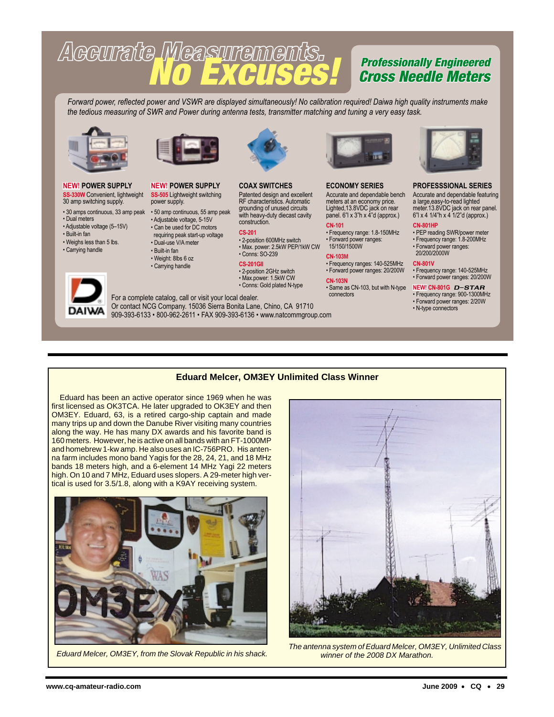# Accurate Measurements.

#### Professionally Engineered Cross Needle Meters

*Forward power, reflected power and VSWR are displayed simultaneously! No calibration required! Daiwa high quality instruments make the tedious measuring of SWR and Power during antenna tests, transmitter matching and tuning a very easy task.*

> **COAX SWITCHES** Patented design and excellent RF characteristics. Automatic grounding of unused circuits with heavy-duty diecast cavity

• 2-position 600MHz switch • Max. power: 2.5kW PEP/1kW CW

construction. **CS-201**

• Conns: SO-239 **CS-201GII** • 2-position 2GHz switch



#### **NEW! POWER SUPPLY SS-330W** Convenient, lightweight 30 amp switching supply.

- 30 amps continuous, 33 amp peak 50 amp continuous, 55 amp peak • Dual meters
- Adjustable voltage (5–15V)
- Built-in fan
- Weighs less than 5 lbs.
- Carrying handle

DAIV





#### • Can be used for DC motors requiring peak start-up voltage • Dual-use V/A meter • Built-in fan

power supply.

• Weight: 8lbs 6 oz

**NEW! POWER SUPPLY SS-505** Lightweight switching

• Adjustable voltage, 5-15V

• Carrying handle



#### For a complete catalog, call or visit your local dealer. • Max.power: 1.5kW CW • Conns: Gold plated N-type

Or contact NCG Company. 15036 Sierra Bonita Lane, Chino, CA 91710 909-393-6133 • 800-962-2611 • FAX 909-393-6136 • www.natcommgroup.com



#### **ECONOMY SERIES**

Accurate and dependable bench meters at an economy price. Lighted,13.8VDC jack on rear

panel. 6"l x 3"h x 4"d (approx.) **CN-101** • Frequency range: 1.8-150MHz • Forward power ranges:

 15/150/1500W **CN-103M**

#### • Frequency ranges: 140-525MHz

- Forward power ranges: 20/200W **CN-103N**
- Same as CN-103, but with N-type connectors



#### **PROFESSSIONAL SERIES**

Accurate and dependable featuring a large,easy-to-read lighted meter.13.8VDC jack on rear panel. 6"l x 4 1/4"h x 4 1/2"d (approx.)

#### **CN-801HP**

• PEP reading SWR/power meter • Frequency range: 1.8-200MHz • Forward power ranges: 20/200/2000W

#### **CN-801V**

• Frequency range: 140-525MHz • Forward power ranges: 20/200W

#### **NEW! CN-801G** D-STAR

- Frequency range: 900-1300MHz • Forward power ranges: 2/20W
- N-type connectors

#### **Eduard Melcer, OM3EY Unlimited Class Winner**

Eduard has been an active operator since 1969 when he was first licensed as OK3TCA. He later upgraded to OK3EY and then OM3EY. Eduard, 63, is a retired cargo-ship captain and made many trips up and down the Danube River visiting many countries along the way. He has many DX awards and his favorite band is 160 meters. However, he is active on all bands with an FT-1000MP and homebrew 1-kw amp. He also uses an IC-756PRO. His antenna farm includes mono band Yagis for the 28, 24, 21, and 18 MHz bands 18 meters high, and a 6-element 14 MHz Yagi 22 meters high. On 10 and 7 MHz, Eduard uses slopers. A 29-meter high vertical is used for 3.5/1.8, along with a K9AY receiving system.





Eduard Melcer, OM3EY, from the Slovak Republic in his shack.<br>Figure of the 2008 DX Marathon. The antenna system of the 2008 DX Marathon. winner of the 2008 DX Marathon.

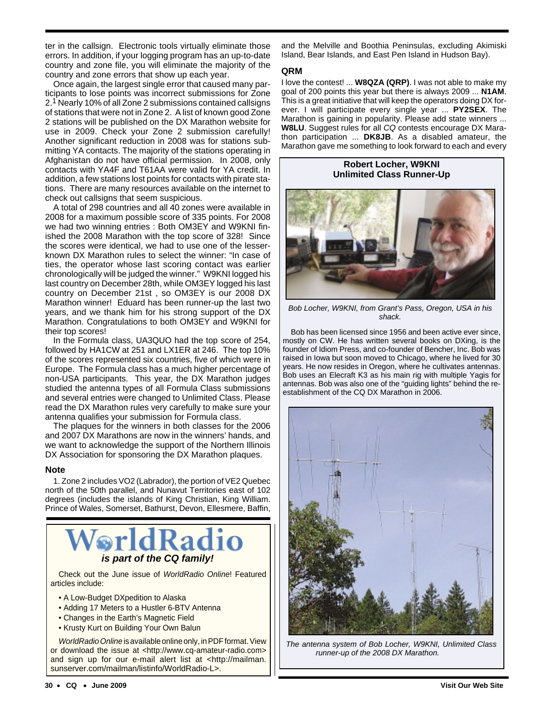ter in the callsign. Electronic tools virtually eliminate those errors. In addition, if your logging program has an up-to-date country and zone file, you will eliminate the majority of the country and zone errors that show up each year.

Once again, the largest single error that caused many participants to lose points was incorrect submissions for Zone 2.1 Nearly 10% of all Zone 2 submissions contained callsigns of stations that were not in Zone 2. A list of known good Zone 2 stations will be published on the DX Marathon website for use in 2009. Check your Zone 2 submission carefully! Another significant reduction in 2008 was for stations submitting YA contacts. The majority of the stations operating in Afghanistan do not have official permission. In 2008, only contacts with YA4F and T61AA were valid for YA credit. In addition, a few stations lost points for contacts with pirate stations. There are many resources available on the internet to check out callsigns that seem suspicious.

A total of 298 countries and all 40 zones were available in 2008 for a maximum possible score of 335 points. For 2008 we had two winning entries : Both OM3EY and W9KNI finished the 2008 Marathon with the top score of 328! Since the scores were identical, we had to use one of the lesserknown DX Marathon rules to select the winner: "In case of ties, the operator whose last scoring contact was earlier chronologically will be judged the winner." W9KNI logged his last country on December 28th, while OM3EY logged his last country on December 21st , so OM3EY is our 2008 DX Marathon winner! Eduard has been runner-up the last two years, and we thank him for his strong support of the DX Marathon. Congratulations to both OM3EY and W9KNI for their top scores!

In the Formula class, UA3QUO had the top score of 254, followed by HA1CW at 251 and LX1ER at 246. The top 10% of the scores represented six countries, five of which were in Europe. The Formula class has a much higher percentage of non-USA participants. This year, the DX Marathon judges studied the antenna types of all Formula Class submissions and several entries were changed to Unlimited Class. Please read the DX Marathon rules very carefully to make sure your antenna qualifies your submission for Formula class.

The plaques for the winners in both classes for the 2006 and 2007 DX Marathons are now in the winners' hands, and we want to acknowledge the support of the Northern Illinois DX Association for sponsoring the DX Marathon plaques.

#### **Note**

1. Zone 2 includes VO2 (Labrador), the portion of VE2 Quebec north of the 50th parallel, and Nunavut Territories east of 102 degrees (includes the islands of King Christian, King William. Prince of Wales, Somerset, Bathurst, Devon, Ellesmere, Baffin,



Check out the June issue of WorldRadio Online! Featured articles include:

- A Low-Budget DXpedition to Alaska
- Adding 17 Meters to a Hustler 6-BTV Antenna
- Changes in the Earth's Magnetic Field
- Krusty Kurt on Building Your Own Balun

WorldRadio Online is available online only, in PDF format. View or download the issue at <http://www.cq-amateur-radio.com> and sign up for our e-mail alert list at <http://mailman. sunserver.com/mailman/listinfo/WorldRadio-L>.

and the Melville and Boothia Peninsulas, excluding Akimiski Island, Bear Islands, and East Pen Island in Hudson Bay).

#### **QRM**

I love the contest! ... **W8QZA (QRP)**. I was not able to make my goal of 200 points this year but there is always 2009 ... **N1AM**. This is a great initiative that will keep the operators doing DX forever. I will participate every single year ... **PY2SEX**. The Marathon is gaining in popularity. Please add state winners ... **W8LU**. Suggest rules for all CQ contests encourage DX Marathon participation ... **DK8JB**. As a disabled amateur, the Marathon gave me something to look forward to each and every

#### **Robert Locher, W9KNI Unlimited Class Runner-Up**



Bob Locher, W9KNI, from Grant's Pass, Oregon, USA in his shack.

Bob has been licensed since 1956 and been active ever since, mostly on CW. He has written several books on DXing, is the founder of Idiom Press, and co-founder of Bencher, Inc. Bob was raised in Iowa but soon moved to Chicago, where he lived for 30 years. He now resides in Oregon, where he cultivates antennas. Bob uses an Elecraft K3 as his main rig with multiple Yagis for antennas. Bob was also one of the "guiding lights" behind the reestablishment of the CQ DX Marathon in 2006.



The antenna system of Bob Locher, W9KNI, Unlimited Class runner-up of the 2008 DX Marathon.